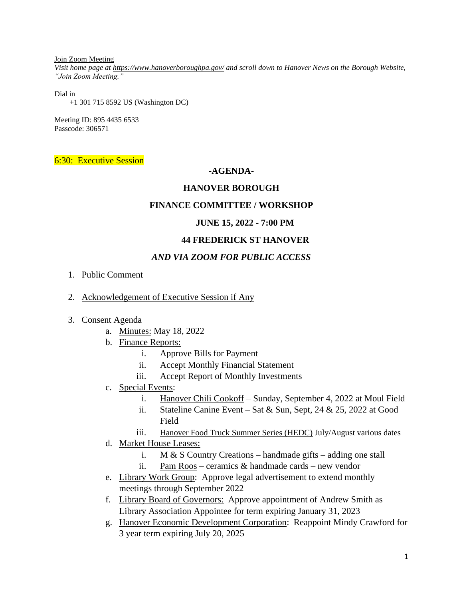Join Zoom Meeting

*Visit home page at<https://www.hanoverboroughpa.gov/> and scroll down to Hanover News on the Borough Website, "Join Zoom Meeting."*

Dial in

+1 301 715 8592 US (Washington DC)

Meeting ID: 895 4435 6533 Passcode: 306571

6:30: Executive Session

# **-AGENDA-**

# **HANOVER BOROUGH**

# **FINANCE COMMITTEE / WORKSHOP**

# **JUNE 15, 2022 - 7:00 PM**

#### **44 FREDERICK ST HANOVER**

# *AND VIA ZOOM FOR PUBLIC ACCESS*

- 1. Public Comment
- 2. Acknowledgement of Executive Session if Any
- 3. Consent Agenda
	- a. Minutes: May 18, 2022
	- b. Finance Reports:
		- i. Approve Bills for Payment
		- ii. Accept Monthly Financial Statement
		- iii. Accept Report of Monthly Investments
	- c. Special Events:
		- i. Hanover Chili Cookoff Sunday, September 4, 2022 at Moul Field
		- ii. Stateline Canine Event Sat & Sun, Sept, 24 & 25, 2022 at Good Field
		- iii. Hanover Food Truck Summer Series (HEDC) July/August various dates
	- d. Market House Leases:
		- i. M & S Country Creations handmade gifts adding one stall
		- ii. Pam Roos ceramics  $&$  handmade cards new vendor
	- e. Library Work Group: Approve legal advertisement to extend monthly meetings through September 2022
	- f. Library Board of Governors: Approve appointment of Andrew Smith as Library Association Appointee for term expiring January 31, 2023
	- g. Hanover Economic Development Corporation: Reappoint Mindy Crawford for 3 year term expiring July 20, 2025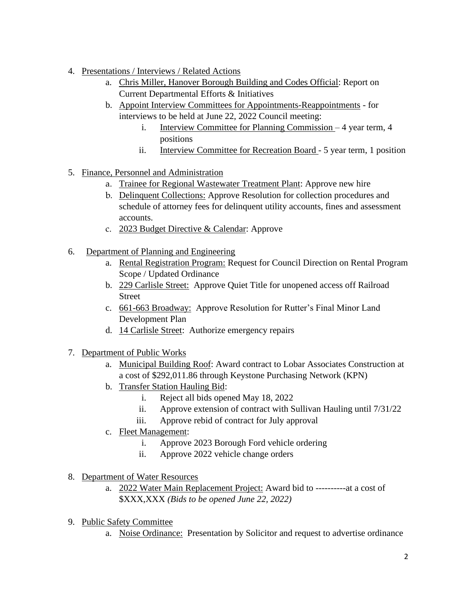- 4. Presentations / Interviews / Related Actions
	- a. Chris Miller, Hanover Borough Building and Codes Official: Report on Current Departmental Efforts & Initiatives
	- b. Appoint Interview Committees for Appointments-Reappointments for interviews to be held at June 22, 2022 Council meeting:
		- i. Interview Committee for Planning Commission 4 year term, 4 positions
		- ii. Interview Committee for Recreation Board 5 year term, 1 position
- 5. Finance, Personnel and Administration
	- a. Trainee for Regional Wastewater Treatment Plant: Approve new hire
	- b. Delinquent Collections: Approve Resolution for collection procedures and schedule of attorney fees for delinquent utility accounts, fines and assessment accounts.
	- c. 2023 Budget Directive & Calendar: Approve
- 6. Department of Planning and Engineering
	- a. Rental Registration Program: Request for Council Direction on Rental Program Scope / Updated Ordinance
	- b. 229 Carlisle Street: Approve Quiet Title for unopened access off Railroad Street
	- c. 661-663 Broadway: Approve Resolution for Rutter's Final Minor Land Development Plan
	- d. 14 Carlisle Street: Authorize emergency repairs
- 7. Department of Public Works
	- a. Municipal Building Roof: Award contract to Lobar Associates Construction at a cost of \$292,011.86 through Keystone Purchasing Network (KPN)
	- b. Transfer Station Hauling Bid:
		- i. Reject all bids opened May 18, 2022
		- ii. Approve extension of contract with Sullivan Hauling until 7/31/22
		- iii. Approve rebid of contract for July approval
	- c. Fleet Management:
		- i. Approve 2023 Borough Ford vehicle ordering
		- ii. Approve 2022 vehicle change orders
- 8. Department of Water Resources
	- a. 2022 Water Main Replacement Project: Award bid to ----------at a cost of \$XXX,XXX *(Bids to be opened June 22, 2022)*
- 9. Public Safety Committee
	- a. Noise Ordinance: Presentation by Solicitor and request to advertise ordinance